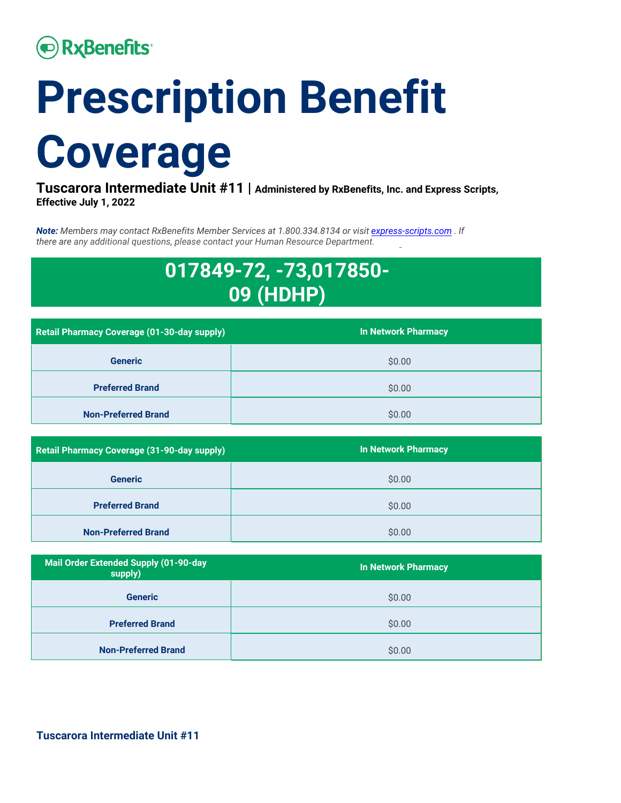# **• RxBenefits**

# **Prescription Benefit Coverage**

**Tuscarora Intermediate Unit #11 | Administered by RxBenefits, Inc. and Express Scripts, Effective July 1, 2022** 

*Note: Members may contact RxBenefits Member Services at 1.800.334.8134 or visit [express-scripts.com](http://express-scripts.com/) . If there are any additional questions, please contact your Human Resource Department.*

## **017849-72, -73,017850- 09 (HDHP)**

| Retail Pharmacy Coverage (01-30-day supply) | <b>In Network Pharmacy</b> |
|---------------------------------------------|----------------------------|
| <b>Generic</b>                              | \$0.00                     |
| <b>Preferred Brand</b>                      | \$0.00                     |
| <b>Non-Preferred Brand</b>                  | \$0.00                     |

| Retail Pharmacy Coverage (31-90-day supply) | <b>In Network Pharmacy</b> |
|---------------------------------------------|----------------------------|
| <b>Generic</b>                              | \$0.00                     |
| <b>Preferred Brand</b>                      | \$0.00                     |
| <b>Non-Preferred Brand</b>                  | \$0.00                     |

| <b>Mail Order Extended Supply (01-90-day</b><br>supply) | <b>In Network Pharmacy</b> |
|---------------------------------------------------------|----------------------------|
| <b>Generic</b>                                          | \$0.00                     |
| <b>Preferred Brand</b>                                  | \$0.00                     |
| <b>Non-Preferred Brand</b>                              | \$0.00                     |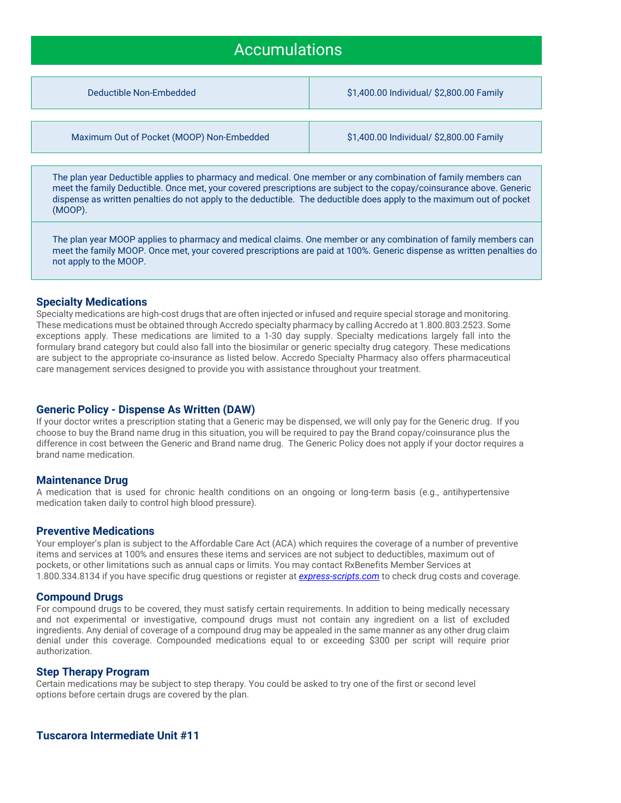### Accumulations

Deductible Non-Embedded \$1,400.00 Individual/ \$2,800.00 Family

Maximum Out of Pocket (MOOP) Non-Embedded \$1,400.00 Individual/ \$2,800.00 Family

The plan year Deductible applies to pharmacy and medical. One member or any combination of family members can meet the family Deductible. Once met, your covered prescriptions are subject to the copay/coinsurance above. Generic dispense as written penalties do not apply to the deductible. The deductible does apply to the maximum out of pocket (MOOP).

The plan year MOOP applies to pharmacy and medical claims. One member or any combination of family members can meet the family MOOP. Once met, your covered prescriptions are paid at 100%. Generic dispense as written penalties do not apply to the MOOP.

#### **Specialty Medications**

Specialty medications are high-cost drugs that are often injected or infused and require special storage and monitoring. These medications must be obtained through Accredo specialty pharmacy by calling Accredo at 1.800.803.2523. Some exceptions apply. These medications are limited to a 1-30 day supply. Specialty medications largely fall into the formulary brand category but could also fall into the biosimilar or generic specialty drug category. These medications are subject to the appropriate co-insurance as listed below. Accredo Specialty Pharmacy also offers pharmaceutical care management services designed to provide you with assistance throughout your treatment.

#### **Generic Policy - Dispense As Written (DAW)**

If your doctor writes a prescription stating that a Generic may be dispensed, we will only pay for the Generic drug. If you choose to buy the Brand name drug in this situation, you will be required to pay the Brand copay/coinsurance plus the difference in cost between the Generic and Brand name drug. The Generic Policy does not apply if your doctor requires a brand name medication.

#### **Maintenance Drug**

A medication that is used for chronic health conditions on an ongoing or long-term basis (e.g., antihypertensive medication taken daily to control high blood pressure).

#### **Preventive Medications**

Your employer's plan is subject to the Affordable Care Act (ACA) which requires the coverage of a number of preventive items and services at 100% and ensures these items and services are not subject to deductibles, maximum out of pockets, or other limitations such as annual caps or limits. You may contact RxBenefits Member Services at 1.800.334.8134 if you have specific drug questions or register at *[express-scripts.com](http://express-scripts.com/)* to check drug costs and coverage.

#### **Compound Drugs**

For compound drugs to be covered, they must satisfy certain requirements. In addition to being medically necessary and not experimental or investigative, compound drugs must not contain any ingredient on a list of excluded ingredients. Any denial of coverage of a compound drug may be appealed in the same manner as any other drug claim denial under this coverage. Compounded medications equal to or exceeding \$300 per script will require prior authorization.

#### **Step Therapy Program**

Certain medications may be subject to step therapy. You could be asked to try one of the first or second level options before certain drugs are covered by the plan.

#### **Tuscarora Intermediate Unit #11**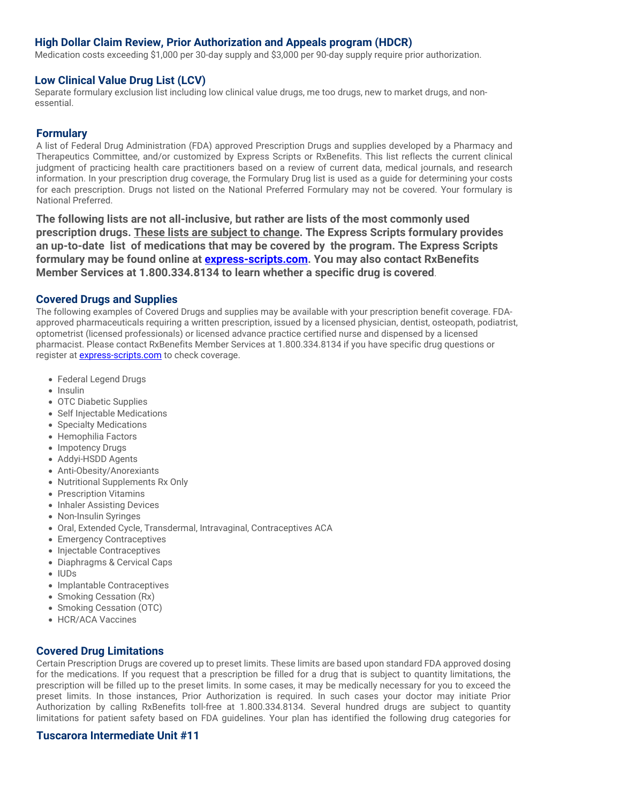#### **High Dollar Claim Review, Prior Authorization and Appeals program (HDCR)**

Medication costs exceeding \$1,000 per 30-day supply and \$3,000 per 90-day supply require prior authorization.

#### **Low Clinical Value Drug List (LCV)**

Separate formulary exclusion list including low clinical value drugs, me too drugs, new to market drugs, and nonessential.

#### **Formulary**

A list of Federal Drug Administration (FDA) approved Prescription Drugs and supplies developed by a Pharmacy and Therapeutics Committee, and/or customized by Express Scripts or RxBenefits. This list reflects the current clinical judgment of practicing health care practitioners based on a review of current data, medical journals, and research information. In your prescription drug coverage, the Formulary Drug list is used as a guide for determining your costs for each prescription. Drugs not listed on the National Preferred Formulary may not be covered. Your formulary is National Preferred.

**The following lists are not all-inclusive, but rather are lists of the most commonly used prescription drugs. These lists are subject to change. The Express Scripts formulary provides an up-to-date list of medications that may be covered by the program. The Express Scripts formulary may be found online at [express-scripts.com.](http://express-scripts.com/) You may also contact RxBenefits Member Services at 1.800.334.8134 to learn whether a specific drug is covered**.

#### **Covered Drugs and Supplies**

The following examples of Covered Drugs and supplies may be available with your prescription benefit coverage. FDAapproved pharmaceuticals requiring a written prescription, issued by a licensed physician, dentist, osteopath, podiatrist, optometrist (licensed professionals) or licensed advance practice certified nurse and dispensed by a licensed pharmacist. Please contact RxBenefits Member Services at 1.800.334.8134 if you have specific drug questions or register at **express-scripts.com** to check coverage.

- Federal Legend Drugs
- Insulin
- OTC Diabetic Supplies
- Self Injectable Medications
- Specialty Medications
- Hemophilia Factors
- Impotency Drugs
- Addyi-HSDD Agents
- Anti-Obesity/Anorexiants
- Nutritional Supplements Rx Only
- Prescription Vitamins
- Inhaler Assisting Devices
- Non-Insulin Syringes
- Oral, Extended Cycle, Transdermal, Intravaginal, Contraceptives ACA
- Emergency Contraceptives
- Injectable Contraceptives
- Diaphragms & Cervical Caps
- IUDs
- Implantable Contraceptives
- Smoking Cessation (Rx)
- Smoking Cessation (OTC)
- HCR/ACA Vaccines

#### **Covered Drug Limitations**

Certain Prescription Drugs are covered up to preset limits. These limits are based upon standard FDA approved dosing for the medications. If you request that a prescription be filled for a drug that is subject to quantity limitations, the prescription will be filled up to the preset limits. In some cases, it may be medically necessary for you to exceed the preset limits. In those instances, Prior Authorization is required. In such cases your doctor may initiate Prior Authorization by calling RxBenefits toll-free at 1.800.334.8134. Several hundred drugs are subject to quantity limitations for patient safety based on FDA guidelines. Your plan has identified the following drug categories for

#### **Tuscarora Intermediate Unit #11**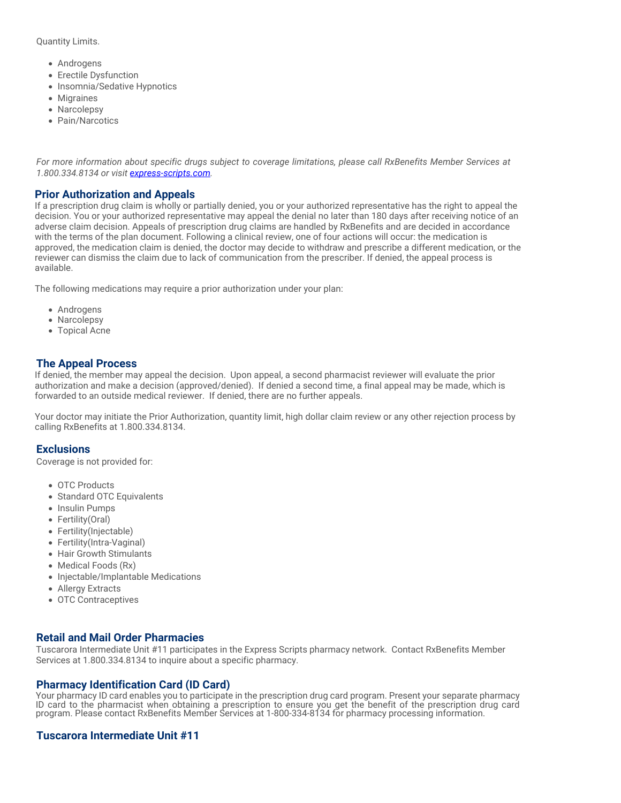Quantity Limits.

- Androgens
- Erectile Dysfunction
- Insomnia/Sedative Hypnotics
- Migraines
- Narcolepsy
- Pain/Narcotics

*For more information about specific drugs subject to coverage limitations, please call RxBenefits Member Services at 1.800.334.8134 or visit [express-scripts.com.](http://express-scripts.com/)*

#### **Prior Authorization and Appeals**

If a prescription drug claim is wholly or partially denied, you or your authorized representative has the right to appeal the decision. You or your authorized representative may appeal the denial no later than 180 days after receiving notice of an adverse claim decision. Appeals of prescription drug claims are handled by RxBenefits and are decided in accordance with the terms of the plan document. Following a clinical review, one of four actions will occur: the medication is approved, the medication claim is denied, the doctor may decide to withdraw and prescribe a different medication, or the reviewer can dismiss the claim due to lack of communication from the prescriber. If denied, the appeal process is available.

The following medications may require a prior authorization under your plan:

- Androgens
- Narcolepsy
- Topical Acne

#### **The Appeal Process**

If denied, the member may appeal the decision. Upon appeal, a second pharmacist reviewer will evaluate the prior authorization and make a decision (approved/denied). If denied a second time, a final appeal may be made, which is forwarded to an outside medical reviewer. If denied, there are no further appeals.

Your doctor may initiate the Prior Authorization, quantity limit, high dollar claim review or any other rejection process by calling RxBenefits at 1.800.334.8134.

#### **Exclusions**

Coverage is not provided for:

- OTC Products
- Standard OTC Equivalents
- Insulin Pumps
- Fertility(Oral)
- Fertility(Injectable)
- Fertility(Intra-Vaginal)
- Hair Growth Stimulants
- Medical Foods (Rx)
- Injectable/Implantable Medications
- Allergy Extracts
- OTC Contraceptives

#### **Retail and Mail Order Pharmacies**

Tuscarora Intermediate Unit #11 participates in the Express Scripts pharmacy network. Contact RxBenefits Member Services at 1.800.334.8134 to inquire about a specific pharmacy.

#### **Pharmacy Identification Card (ID Card)**

Your pharmacy ID card enables you to participate in the prescription drug card program. Present your separate pharmacy ID card to the pharmacist when obtaining a prescription to ensure you get the benefit of the prescription drug card program. Please contact RxBenefits Member Services at 1-800-334-8134 for pharmacy processing information.

#### **Tuscarora Intermediate Unit #11**